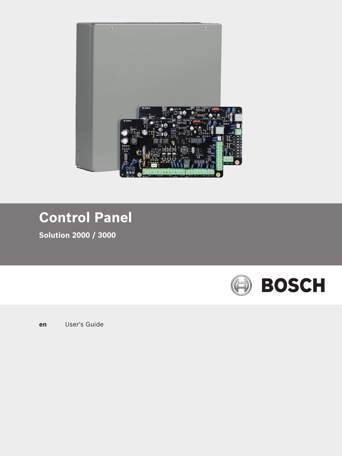

# **Control Panel**

**Solution 2000 / 3000**



**en** User's Guide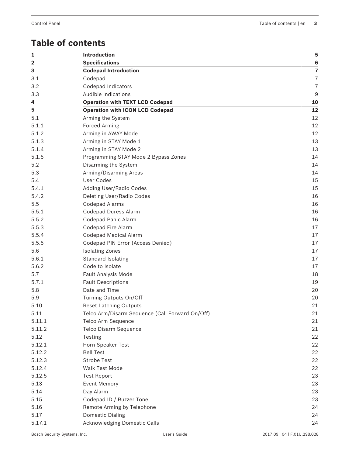## **Table of contents**

| 1                       | <b>Introduction</b>                             | 5              |
|-------------------------|-------------------------------------------------|----------------|
| $\overline{\mathbf{2}}$ | <b>Specifications</b>                           | 6              |
| 3                       | <b>Codepad Introduction</b>                     | $\overline{7}$ |
| 3.1                     | Codepad                                         | $\overline{7}$ |
| 3.2                     | <b>Codepad Indicators</b>                       | $\overline{I}$ |
| 3.3                     | Audible Indications                             | 9              |
| 4                       | <b>Operation with TEXT LCD Codepad</b>          | 10             |
| 5                       | <b>Operation with ICON LCD Codepad</b>          | 12             |
| 5.1                     | Arming the System                               | 12             |
| 5.1.1                   | <b>Forced Arming</b>                            | 12             |
| 5.1.2                   | Arming in AWAY Mode                             | 12             |
| 5.1.3                   | Arming in STAY Mode 1                           | 13             |
| 5.1.4                   | Arming in STAY Mode 2                           | 13             |
| 5.1.5                   | Programming STAY Mode 2 Bypass Zones            | 14             |
| 5.2                     | Disarming the System                            | 14             |
| 5.3                     | Arming/Disarming Areas                          | 14             |
| 5.4                     | User Codes                                      | 15             |
| 5.4.1                   | Adding User/Radio Codes                         | 15             |
| 5.4.2                   | Deleting User/Radio Codes                       | 16             |
| 5.5                     | <b>Codepad Alarms</b>                           | 16             |
| 5.5.1                   | <b>Codepad Duress Alarm</b>                     | 16             |
| 5.5.2                   | Codepad Panic Alarm                             | 16             |
| 5.5.3                   | Codepad Fire Alarm                              | 17             |
| 5.5.4                   | <b>Codepad Medical Alarm</b>                    | 17             |
| 5.5.5                   | Codepad PIN Error (Access Denied)               | 17             |
| 5.6                     | <b>Isolating Zones</b>                          | 17             |
| 5.6.1                   | Standard Isolating                              | 17             |
| 5.6.2                   | Code to Isolate                                 | 17             |
| 5.7                     | Fault Analysis Mode                             | 18             |
| 5.7.1                   | <b>Fault Descriptions</b>                       | 19             |
| 5.8                     | Date and Time                                   | 20             |
| 5.9                     | Turning Outputs On/Off                          | 20             |
| 5.10                    | <b>Reset Latching Outputs</b>                   | 21             |
| 5.11                    | Telco Arm/Disarm Sequence (Call Forward On/Off) | 21             |
| 5.11.1                  | Telco Arm Sequence                              | 21             |
| 5.11.2                  | Telco Disarm Sequence                           | 21             |
| 5.12                    | Testing                                         | 22             |
| 5.12.1                  | Horn Speaker Test                               | 22             |
| 5.12.2                  | <b>Bell Test</b>                                | 22             |
| 5.12.3                  | <b>Strobe Test</b>                              | 22             |
| 5.12.4                  | <b>Walk Test Mode</b>                           | 22             |
| 5.12.5                  | <b>Test Report</b>                              | 23             |
| 5.13                    | <b>Event Memory</b>                             | 23             |
| 5.14                    | Day Alarm                                       | 23             |
| 5.15                    | Codepad ID / Buzzer Tone                        | 23             |
| 5.16                    | Remote Arming by Telephone                      | 24             |
| 5.17                    | <b>Domestic Dialing</b>                         | 24             |
| 5.17.1                  | Acknowledging Domestic Calls                    | 24             |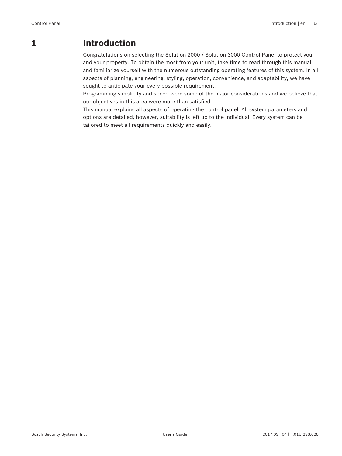## **1 Introduction**

Congratulations on selecting the Solution 2000 / Solution 3000 Control Panel to protect you and your property. To obtain the most from your unit, take time to read through this manual and familiarize yourself with the numerous outstanding operating features of this system. In all aspects of planning, engineering, styling, operation, convenience, and adaptability, we have sought to anticipate your every possible requirement.

Programming simplicity and speed were some of the major considerations and we believe that our objectives in this area were more than satisfied.

This manual explains all aspects of operating the control panel. All system parameters and options are detailed; however, suitability is left up to the individual. Every system can be tailored to meet all requirements quickly and easily.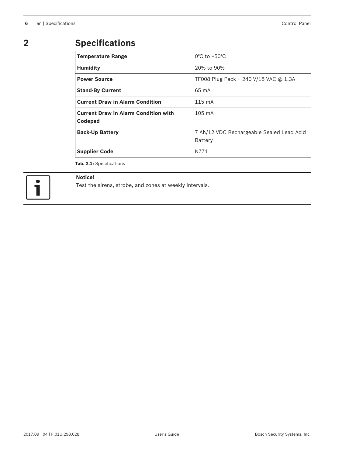## **2 Specifications**

| <b>Temperature Range</b>                               | $0^{\circ}$ C to +50 $^{\circ}$ C                    |
|--------------------------------------------------------|------------------------------------------------------|
| <b>Humidity</b>                                        | 20% to 90%                                           |
| <b>Power Source</b>                                    | TF008 Plug Pack - 240 V/18 VAC @ 1.3A                |
| <b>Stand-By Current</b>                                | $65 \text{ mA}$                                      |
| <b>Current Draw in Alarm Condition</b>                 | $115 \text{ mA}$                                     |
| <b>Current Draw in Alarm Condition with</b><br>Codepad | $105 \text{ mA}$                                     |
| <b>Back-Up Battery</b>                                 | 7 Ah/12 VDC Rechargeable Sealed Lead Acid<br>Battery |
| <b>Supplier Code</b>                                   | N771                                                 |

**Tab. 2.1:** Specifications



### **Notice!**

Test the sirens, strobe, and zones at weekly intervals.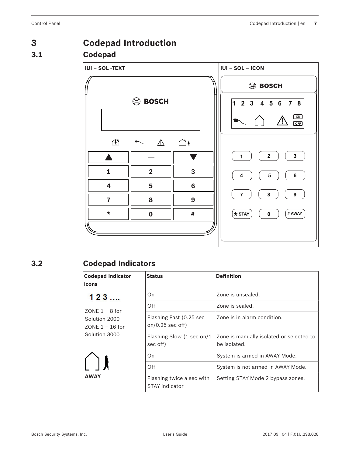# **3 Codepad Introduction 3.1 Codepad**



## **3.2 Codepad Indicators**

| <b>Codepad indicator</b><br>icons  | <b>Status</b>                                      | <b>Definition</b>                                        |
|------------------------------------|----------------------------------------------------|----------------------------------------------------------|
| 123                                | On.                                                | Zone is unsealed.                                        |
| $70NF1 - 8$ for                    | Off                                                | Zone is sealed.                                          |
| Solution 2000<br>$70NF 1 - 16$ for | Flashing Fast (0.25 sec<br>on/0.25 sec off)        | Zone is in alarm condition.                              |
| Solution 3000                      | Flashing Slow (1 sec on/1<br>sec off)              | Zone is manually isolated or selected to<br>be isolated. |
|                                    | On.                                                | System is armed in AWAY Mode.                            |
|                                    | Off                                                | System is not armed in AWAY Mode.                        |
| <b>AWAY</b>                        | Flashing twice a sec with<br><b>STAY indicator</b> | Setting STAY Mode 2 bypass zones.                        |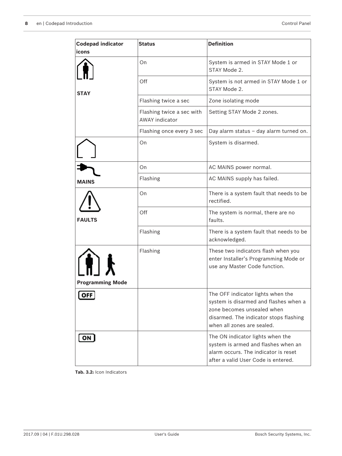| <b>Codepad indicator</b><br>icons | <b>Status</b>                                      | <b>Definition</b>                                                                                                                                                                |
|-----------------------------------|----------------------------------------------------|----------------------------------------------------------------------------------------------------------------------------------------------------------------------------------|
|                                   | On                                                 | System is armed in STAY Mode 1 or<br>STAY Mode 2.                                                                                                                                |
| <b>STAY</b>                       | Off                                                | System is not armed in STAY Mode 1 or<br>STAY Mode 2.                                                                                                                            |
|                                   | Flashing twice a sec                               | Zone isolating mode                                                                                                                                                              |
|                                   | Flashing twice a sec with<br><b>AWAY indicator</b> | Setting STAY Mode 2 zones.                                                                                                                                                       |
|                                   | Flashing once every 3 sec                          | Day alarm status - day alarm turned on.                                                                                                                                          |
|                                   | On                                                 | System is disarmed.                                                                                                                                                              |
|                                   | On                                                 | AC MAINS power normal.                                                                                                                                                           |
| <b>MAINS</b>                      | Flashing                                           | AC MAINS supply has failed.                                                                                                                                                      |
|                                   | On                                                 | There is a system fault that needs to be<br>rectified.                                                                                                                           |
| <b>FAULTS</b>                     | Off                                                | The system is normal, there are no<br>faults.                                                                                                                                    |
|                                   | Flashing                                           | There is a system fault that needs to be<br>acknowledged.                                                                                                                        |
| HI J<br><b>Programming Mode</b>   | Flashing                                           | These two indicators flash when you<br>enter Installer's Programming Mode or<br>use any Master Code function.                                                                    |
| OFF                               |                                                    | The OFF indicator lights when the<br>system is disarmed and flashes when a<br>zone becomes unsealed when<br>disarmed. The indicator stops flashing<br>when all zones are sealed. |
| ON                                |                                                    | The ON indicator lights when the<br>system is armed and flashes when an<br>alarm occurs. The indicator is reset<br>after a valid User Code is entered.                           |

**Tab. 3.2:** Icon Indicators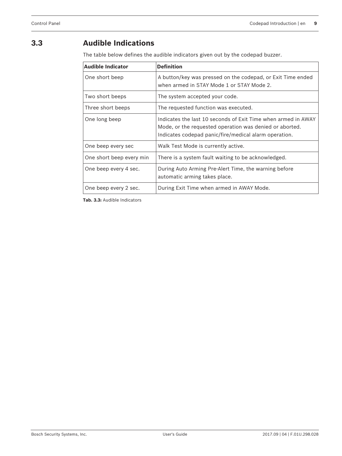## **3.3 Audible Indications**

The table below defines the audible indicators given out by the codepad buzzer.

| <b>Audible Indicator</b> | <b>Definition</b>                                                                                                                                                                 |
|--------------------------|-----------------------------------------------------------------------------------------------------------------------------------------------------------------------------------|
| One short beep           | A button/key was pressed on the codepad, or Exit Time ended<br>when armed in STAY Mode 1 or STAY Mode 2.                                                                          |
| Two short beeps          | The system accepted your code.                                                                                                                                                    |
| Three short beeps        | The requested function was executed.                                                                                                                                              |
| One long beep            | Indicates the last 10 seconds of Exit Time when armed in AWAY<br>Mode, or the requested operation was denied or aborted.<br>Indicates codepad panic/fire/medical alarm operation. |
| One beep every sec       | Walk Test Mode is currently active.                                                                                                                                               |
| One short beep every min | There is a system fault waiting to be acknowledged.                                                                                                                               |
| One beep every 4 sec.    | During Auto Arming Pre-Alert Time, the warning before<br>automatic arming takes place.                                                                                            |
| One beep every 2 sec.    | During Exit Time when armed in AWAY Mode.                                                                                                                                         |

**Tab. 3.3:** Audible Indicators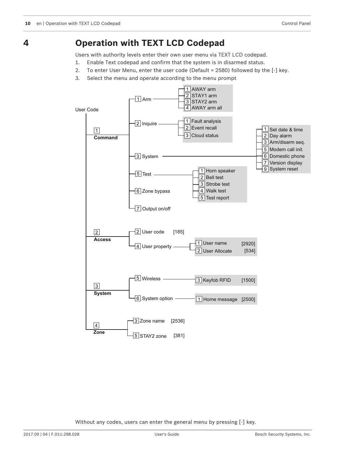## **Operation with TEXT LCD Codepad**

Users with authority levels enter their own user menu via TEXT LCD codepad.

- 1. Enable Text codepad and confirm that the system is in disarmed status.
- 2. To enter User Menu, enter the user code (Default = 2580) followed by the [-] key.
- 3. Select the menu and operate according to the menu prompt



Without any codes, users can enter the general menu by pressing [-] key.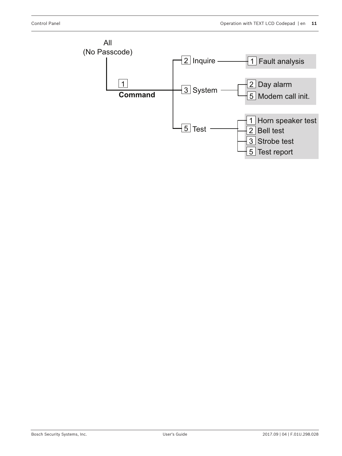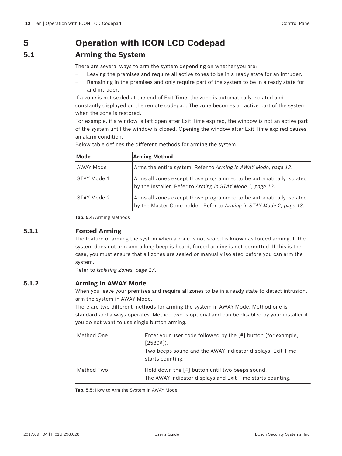## **5 Operation with ICON LCD Codepad**

## **5.1 Arming the System**

There are several ways to arm the system depending on whether you are:

- Leaving the premises and require all active zones to be in a ready state for an intruder.
- Remaining in the premises and only require part of the system to be in a ready state for and intruder.

If a zone is not sealed at the end of Exit Time, the zone is automatically isolated and constantly displayed on the remote codepad. The zone becomes an active part of the system when the zone is restored.

For example, if a window is left open after Exit Time expired, the window is not an active part of the system until the window is closed. Opening the window after Exit Time expired causes an alarm condition.

| Mode        | <b>Arming Method</b>                                                                                                                       |
|-------------|--------------------------------------------------------------------------------------------------------------------------------------------|
| AWAY Mode   | Arms the entire system. Refer to Arming in AWAY Mode, page 12.                                                                             |
| STAY Mode 1 | Arms all zones except those programmed to be automatically isolated<br>by the installer. Refer to Arming in STAY Mode 1, page 13.          |
| STAY Mode 2 | Arms all zones except those programmed to be automatically isolated<br>by the Master Code holder. Refer to Arming in STAY Mode 2, page 13. |

Below table defines the different methods for arming the system.

**Tab. 5.4:** Arming Methods

## **5.1.1 Forced Arming**

The feature of arming the system when a zone is not sealed is known as forced arming. If the system does not arm and a long beep is heard, forced arming is not permitted. If this is the case, you must ensure that all zones are sealed or manually isolated before you can arm the system.

Refer to *Isolating Zones, page 17*.

## **5.1.2 Arming in AWAY Mode**

When you leave your premises and require all zones to be in a ready state to detect intrusion, arm the system in AWAY Mode.

There are two different methods for arming the system in AWAY Mode. Method one is standard and always operates. Method two is optional and can be disabled by your installer if you do not want to use single button arming.

| Method One | Enter your user code followed by the [#] button (for example,<br>$[2580!]$ ).<br>Two beeps sound and the AWAY indicator displays. Exit Time<br>starts counting. |
|------------|-----------------------------------------------------------------------------------------------------------------------------------------------------------------|
| Method Two | Hold down the [#] button until two beeps sound.<br>The AWAY indicator displays and Exit Time starts counting.                                                   |

**Tab. 5.5:** How to Arm the System in AWAY Mode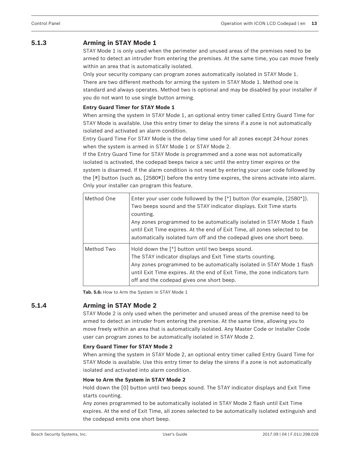## **5.1.3 Arming in STAY Mode 1**

STAY Mode 1 is only used when the perimeter and unused areas of the premises need to be armed to detect an intruder from entering the premises. At the same time, you can move freely within an area that is automatically isolated.

Only your security company can program zones automatically isolated in STAY Mode 1. There are two different methods for arming the system in STAY Mode 1. Method one is standard and always operates. Method two is optional and may be disabled by your installer if you do not want to use single button arming.

#### **Entry Guard Timer for STAY Mode 1**

When arming the system in STAY Mode 1, an optional entry timer called Entry Guard Time for STAY Mode is available. Use this entry timer to delay the sirens if a zone is not automatically isolated and activated an alarm condition.

Entry Guard Time For STAY Mode is the delay time used for all zones except 24-hour zones when the system is armed in STAY Mode 1 or STAY Mode 2.

If the Entry Guard Time for STAY Mode is programmed and a zone was not automatically isolated is activated, the codepad beeps twice a sec until the entry timer expires or the system is disarmed. If the alarm condition is not reset by entering your user code followed by the [#] button (such as, [2580#]) before the entry time expires, the sirens activate into alarm. Only your installer can program this feature.

| Method One | Enter your user code followed by the $[*]$ button (for example, $[2580*]$ ).<br>Two beeps sound and the STAY indicator displays. Exit Time starts<br>counting.<br>Any zones programmed to be automatically isolated in STAY Mode 1 flash<br>until Exit Time expires. At the end of Exit Time, all zones selected to be<br>automatically isolated turn off and the codepad gives one short beep. |
|------------|-------------------------------------------------------------------------------------------------------------------------------------------------------------------------------------------------------------------------------------------------------------------------------------------------------------------------------------------------------------------------------------------------|
| Method Two | Hold down the $[*]$ button until two beeps sound.<br>The STAY indicator displays and Exit Time starts counting.<br>Any zones programmed to be automatically isolated in STAY Mode 1 flash<br>until Exit Time expires. At the end of Exit Time, the zone indicators turn<br>off and the codepad gives one short beep.                                                                            |

**Tab. 5.6:** How to Arm the System in STAY Mode 1

#### **5.1.4 Arming in STAY Mode 2**

STAY Mode 2 is only used when the perimeter and unused areas of the premise need to be armed to detect an intruder from entering the premise. At the same time, allowing you to move freely within an area that is automatically isolated. Any Master Code or Installer Code user can program zones to be automatically isolated in STAY Mode 2.

#### **Enry Guard Timer for STAY Mode 2**

When arming the system in STAY Mode 2, an optional entry timer called Entry Guard Time for STAY Mode is available. Use this entry timer to delay the sirens if a zone is not automatically isolated and activated into alarm condition.

#### **How to Arm the System in STAY Mode 2**

Hold down the [0] button until two beeps sound. The STAY indicator displays and Exit Time starts counting.

Any zones programmed to be automatically isolated in STAY Mode 2 flash until Exit Time expires. At the end of Exit Time, all zones selected to be automatically isolated extinguish and the codepad emits one short beep.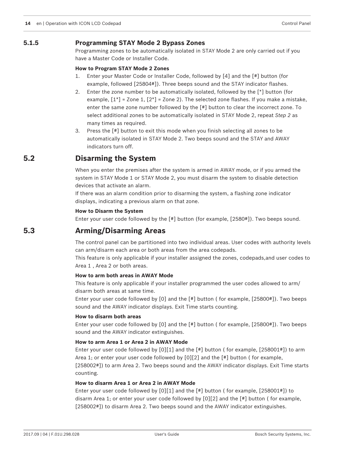#### **5.1.5 Programming STAY Mode 2 Bypass Zones**

Programming zones to be automatically isolated in STAY Mode 2 are only carried out if you have a Master Code or Installer Code.

#### **How to Program STAY Mode 2 Zones**

- 1. Enter your Master Code or Installer Code, followed by [4] and the [#] button (for example, followed [25804#]). Three beeps sound and the STAY indicator flashes.
- 2. Enter the zone number to be automatically isolated, followed by the [\*] button (for example,  $[1^*]$  = Zone 1,  $[2^*]$  = Zone 2). The selected zone flashes. If you make a mistake, enter the same zone number followed by the [#] button to clear the incorrect zone. To select additional zones to be automatically isolated in STAY Mode 2, repeat *Step 2* as many times as required.
- 3. Press the [#] button to exit this mode when you finish selecting all zones to be automatically isolated in STAY Mode 2. Two beeps sound and the STAY and AWAY indicators turn off.

## **5.2 Disarming the System**

When you enter the premises after the system is armed in AWAY mode, or if you armed the system in STAY Mode 1 or STAY Mode 2, you must disarm the system to disable detection devices that activate an alarm.

If there was an alarm condition prior to disarming the system, a flashing zone indicator displays, indicating a previous alarm on that zone.

#### **How to Disarm the System**

Enter your user code followed by the [#] button (for example, [2580#]). Two beeps sound.

## **5.3 Arming/Disarming Areas**

The control panel can be partitioned into two individual areas. User codes with authority levels can arm/disarm each area or both areas from the area codepads.

This feature is only applicable if your installer assigned the zones, codepads,and user codes to Area 1 , Area 2 or both areas.

#### **How to arm both areas in AWAY Mode**

This feature is only applicable if your installer programmed the user codes allowed to arm/ disarm both areas at same time.

Enter your user code followed by [0] and the [#] button ( for example, [25800#]). Two beeps sound and the AWAY indicator displays. Exit Time starts counting.

#### **How to disarm both areas**

Enter your user code followed by [0] and the [#] button ( for example, [25800#]). Two beeps sound and the AWAY indicator extinguishes.

#### **How to arm Area 1 or Area 2 in AWAY Mode**

Enter your user code followed by  $[0][1]$  and the  $[4]$  button (for example,  $[2580014]$ ) to arm Area 1; or enter your user code followed by [0][2] and the [#] button ( for example, [258002#]) to arm Area 2. Two beeps sound and the AWAY indicator displays. Exit Time starts counting.

#### **How to disarm Area 1 or Area 2 in AWAY Mode**

Enter your user code followed by [0][1] and the [#] button ( for example, [258001#]) to disarm Area 1; or enter your user code followed by [0][2] and the [#] button ( for example, [258002#]) to disarm Area 2. Two beeps sound and the AWAY indicator extinguishes.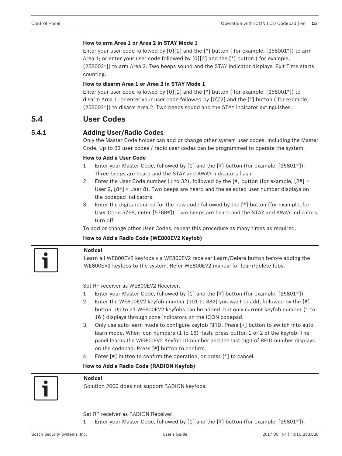#### **How to arm Area 1 or Area 2 in STAY Mode 1**

Enter your user code followed by  $[0][1]$  and the  $[*]$  button (for example,  $[258001*]$ ) to arm Area 1; or enter your user code followed by [0][2] and the [\*] button ( for example, [258002\*]) to arm Area 2. Two beeps sound and the STAY indicator displays. Exit Time starts counting.

#### **How to disarm Area 1 or Area 2 in STAY Mode 1**

Enter your user code followed by  $[0][1]$  and the  $[*]$  button (for example,  $[258001*]$ ) to disarm Area 1; or enter your user code followed by [0][2] and the [\*] button ( for example, [258002\*]) to disarm Area 2. Two beeps sound and the STAY indicator extinguishes.

## **5.4 User Codes**

### **5.4.1 Adding User/Radio Codes**

Only the Master Code holder can add or change other system user codes, including the Master Code. Up to 32 user codes / radio user codes can be programmed to operate the system.

#### **How to Add a User Code**

- 1. Enter your Master Code, followed by [1] and the [#] button (for example, [25801#]). Three beeps are heard and the STAY and AWAY indicators flash.
- 2. Enter the User Code number (1 to 32), followed by the  $[#]$  button (for example,  $[2#] =$ User 2, [8#] = User 8). Two beeps are heard and the selected user number displays on the codepad indicators.
- 3. Enter the digits required for the new code followed by the [#] button (for example, for User Code 5768, enter [5768#]). Two beeps are heard and the STAY and AWAY indicators turn off.

To add or change other User Codes, repeat this procedure as many times as required.

#### **How to Add a Radio Code (WE800EV2 Keyfob)**

#### **Notice!**

Learn all WE800EV2 keyfobs via WE800EV2 receiver Learn/Delete button before adding the WE800EV2 keyfobs to the system. Refer WE800EV2 manual for learn/delete fobs.

Set RF receiver as WE800EV2 Receiver.

- 1. Enter your Master Code, followed by [1] and the [#] button (for example, [25801#]).
- 2. Enter the WE800EV2 keyfob number (301 to 332) you want to add, followed by the [#] button. Up to 21 WE800EV2 keyfobs can be added, but only current keyfob number (1 to 16 ) displays through zone indicators on the ICON codepad.
- 3. Only use auto-learn mode to configure keyfob RFID. Press [#] button to switch into autolearn mode. When icon numbers (1 to 16) flash, press button 1 or 2 of the keyfob. The panel learns the WE800EV2 Keyfob ID number and the last digit of RFID number displays on the codepad. Press [#] button to confirm.
- 4. Enter [#] button to confirm the operation, or press [\*] to cancel.

#### **How to Add a Radio Code (RADION Keyfob)**



#### **Notice!**

Solution 2000 does not support RADION keyfobs.

Set RF receiver as RADION Receiver.

1. Enter your Master Code, followed by [1] and the [#] button (for example, [25801#]).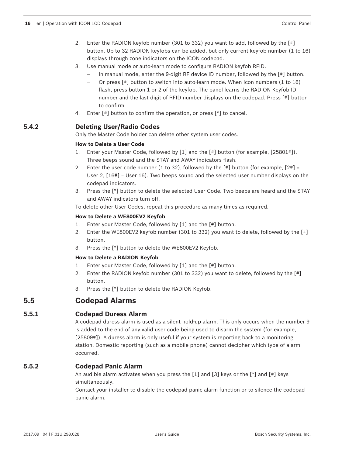- 2. Enter the RADION keyfob number (301 to 332) you want to add, followed by the [#] button. Up to 32 RADION keyfobs can be added, but only current keyfob number (1 to 16) displays through zone indicators on the ICON codepad.
- 3. Use manual mode or auto-learn mode to configure RADION keyfob RFID.
	- In manual mode, enter the 9-digit RF device ID number, followed by the [#] button.
	- Or press [#] button to switch into auto-learn mode. When icon numbers (1 to 16) flash, press button 1 or 2 of the keyfob. The panel learns the RADION Keyfob ID number and the last digit of RFID number displays on the codepad. Press [#] button to confirm.
- 4. Enter [#] button to confirm the operation, or press [\*] to cancel.

## **5.4.2 Deleting User/Radio Codes**

Only the Master Code holder can delete other system user codes.

#### **How to Delete a User Code**

- 1. Enter your Master Code, followed by [1] and the [#] button (for example, [25801#]). Three beeps sound and the STAY and AWAY indicators flash.
- 2. Enter the user code number  $(1 \text{ to } 32)$ , followed by the  $[4]$  button (for example,  $[24]$  = User 2, [16#] = User 16). Two beeps sound and the selected user number displays on the codepad indicators.
- 3. Press the [\*] button to delete the selected User Code. Two beeps are heard and the STAY and AWAY indicators turn off.

To delete other User Codes, repeat this procedure as many times as required.

#### **How to Delete a WE800EV2 Keyfob**

- 1. Enter your Master Code, followed by [1] and the [#] button.
- 2. Enter the WE800EV2 keyfob number (301 to 332) you want to delete, followed by the [#] button.
- 3. Press the [\*] button to delete the WE800EV2 Keyfob.

#### **How to Delete a RADION Keyfob**

- 1. Enter your Master Code, followed by [1] and the [#] button.
- 2. Enter the RADION keyfob number (301 to 332) you want to delete, followed by the [#] button.
- 3. Press the [\*] button to delete the RADION Keyfob.

## **5.5 Codepad Alarms**

#### **5.5.1 Codepad Duress Alarm**

A codepad duress alarm is used as a silent hold-up alarm. This only occurs when the number 9 is added to the end of any valid user code being used to disarm the system (for example, [25809#]). A duress alarm is only useful if your system is reporting back to a monitoring station. Domestic reporting (such as a mobile phone) cannot decipher which type of alarm occurred.

## **5.5.2 Codepad Panic Alarm**

An audible alarm activates when you press the  $[1]$  and  $[3]$  keys or the  $[*)$  and  $[!]$  keys simultaneously.

Contact your installer to disable the codepad panic alarm function or to silence the codepad panic alarm.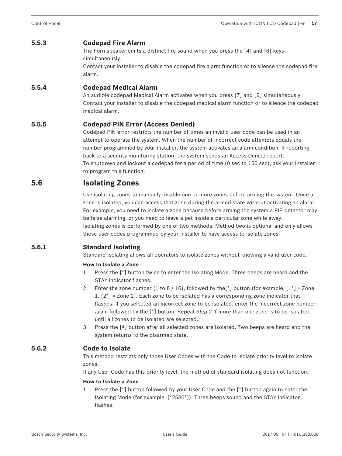#### **5.5.3 Codepad Fire Alarm**

The horn speaker emits a distinct fire sound when you press the [4] and [6] keys simultaneously. Contact your installer to disable the codepad fire alarm function or to silence the codepad fire

alarm.

#### **5.5.4 Codepad Medical Alarm**

An audible codepad Medical Alarm activates when you press [7] and [9] simultaneously. Contact your installer to disable the codepad medical alarm function or to silence the codepad medical alarm.

#### **5.5.5 Codepad PIN Error (Access Denied)**

Codepad PIN error restricts the number of times an invalid user code can be used in an attempt to operate the system. When the number of incorrect code attempts equals the number programmed by your installer, the system activates an alarm condition. If reporting back to a security monitoring station, the system sends an Access Denied report. To shutdown and lockout a codepad for a period of time (0 sec to 150 sec), ask your installer to program this function.

## **5.6 Isolating Zones**

Use isolating zones to manually disable one or more zones before arming the system. Once a zone is isolated, you can access that zone during the armed state without activating an alarm. For example, you need to isolate a zone because before arming the system a PIR detector may be false alarming, or you need to leave a pet inside a particular zone while away. Isolating zones is performed by one of two methods. Method two is optional and only allows those user codes programmed by your installer to have access to isolate zones.

#### **5.6.1 Standard Isolating**

Standard isolating allows all operators to isolate zones without knowing a valid user code.

#### **How to Isolate a Zone**

- 1. Press the [\*] button twice to enter the Isolating Mode. Three beeps are heard and the STAY indicator flashes.
- 2. Enter the zone number (1 to 8 / 16), followed by the [\*] button (for example,  $[1^*]$  = Zone  $1, [2^*]$  = Zone 2). Each zone to be isolated has a corresponding zone indicator that flashes. If you selected an incorrect zone to be isolated, enter the incorrect zone number again followed by the [\*] button. Repeat *Step 2* if more than one zone is to be isolated until all zones to be isolated are selected.
- 3. Press the [#] button after all selected zones are isolated. Two beeps are heard and the system returns to the disarmed state.

#### **5.6.2 Code to Isolate**

This method restricts only those User Codes with the Code to Isolate priority level to isolate zones.

If any User Code has this priority level, the method of standard isolating does not function.

#### **How to Isolate a Zone**

1. Press the [\*] button followed by your User Code and the [\*] button again to enter the Isolating Mode (for example, [\*2580\*]). Three beeps sound and the STAY indicator flashes.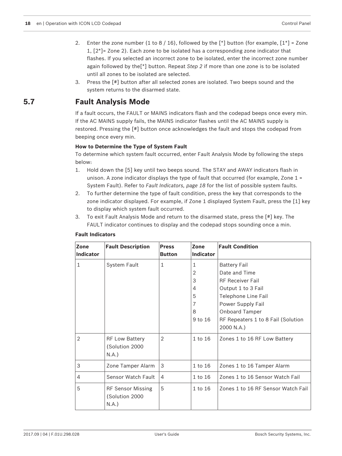- 2. Enter the zone number (1 to 8 / 16), followed by the  $\lceil * \rceil$  button (for example,  $\lceil 1^* \rceil$  = Zone 1, [2\*]= Zone 2). Each zone to be isolated has a corresponding zone indicator that flashes. If you selected an incorrect zone to be isolated, enter the incorrect zone number again followed by the[\*] button. Repeat *Step 2* if more than one zone is to be isolated until all zones to be isolated are selected.
- 3. Press the [#] button after all selected zones are isolated. Two beeps sound and the system returns to the disarmed state.

## **5.7 Fault Analysis Mode**

If a fault occurs, the FAULT or MAINS indicators flash and the codepad beeps once every min. If the AC MAINS supply fails, the MAINS indicator flashes until the AC MAINS supply is restored. Pressing the [#] button once acknowledges the fault and stops the codepad from beeping once every min.

#### **How to Determine the Type of System Fault**

To determine which system fault occurred, enter Fault Analysis Mode by following the steps below:

- 1. Hold down the [5] key until two beeps sound. The STAY and AWAY indicators flash in unison. A zone indicator displays the type of fault that occurred (for example, Zone  $1 =$ System Fault). Refer to *Fault Indicators, page 18* for the list of possible system faults.
- 2. To further determine the type of fault condition, press the key that corresponds to the zone indicator displayed. For example, if Zone 1 displayed System Fault, press the [1] key to display which system fault occurred.
- 3. To exit Fault Analysis Mode and return to the disarmed state, press the [#] key. The FAULT indicator continues to display and the codepad stops sounding once a min.

| Zone             | <b>Fault Description</b> | <b>Press</b>  | Zone             | <b>Fault Condition</b>             |
|------------------|--------------------------|---------------|------------------|------------------------------------|
| <b>Indicator</b> |                          | <b>Button</b> | <b>Indicator</b> |                                    |
| 1                | System Fault             | $\mathbf{1}$  | 1                | <b>Battery Fail</b>                |
|                  |                          |               | 2                | Date and Time                      |
|                  |                          |               | 3                | RF Receiver Fail                   |
|                  |                          |               | 4                | Output 1 to 3 Fail                 |
|                  |                          |               | 5                | Telephone Line Fail                |
|                  |                          |               | 7                | Power Supply Fail                  |
|                  |                          |               | 8                | <b>Onboard Tamper</b>              |
|                  |                          |               | 9 to 16          | RF Repeaters 1 to 8 Fail (Solution |
|                  |                          |               |                  | 2000 N.A.)                         |
| $\overline{2}$   | <b>RF Low Battery</b>    | 2             | $1$ to $16$      | Zones 1 to 16 RF Low Battery       |
|                  | (Solution 2000           |               |                  |                                    |
|                  | N.A.)                    |               |                  |                                    |
| 3                | Zone Tamper Alarm        | 3             | 1 to 16          | Zones 1 to 16 Tamper Alarm         |
| $\overline{4}$   | Sensor Watch Fault       | 4             | 1 to 16          | Zones 1 to 16 Sensor Watch Fail    |
| 5                | RF Sensor Missing        | 5             | $1$ to $16$      | Zones 1 to 16 RF Sensor Watch Fail |
|                  | (Solution 2000           |               |                  |                                    |
|                  | N.A.                     |               |                  |                                    |

#### **Fault Indicators**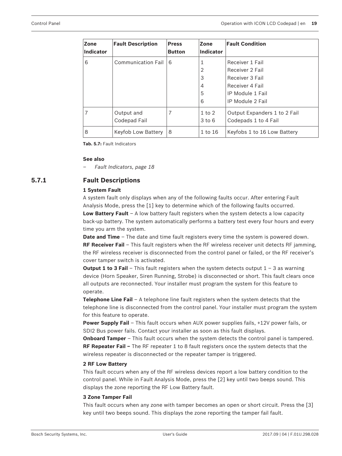| Zone<br>Indicator | <b>Fault Description</b>   | <b>Press</b><br><b>Button</b> | <b>Zone</b><br>Indicator | <b>Fault Condition</b>                               |
|-------------------|----------------------------|-------------------------------|--------------------------|------------------------------------------------------|
| 6                 | <b>Communication Fail</b>  | 6                             | 1                        | Receiver 1 Fail                                      |
|                   |                            |                               | 2<br>3                   | Receiver 2 Fail<br>Receiver 3 Fail                   |
|                   |                            |                               | 4                        | Receiver 4 Fail                                      |
|                   |                            |                               | 5                        | IP Module 1 Fail                                     |
|                   |                            |                               | 6                        | IP Module 2 Fail                                     |
| 7                 | Output and<br>Codepad Fail | 7                             | $1$ to $2$<br>$3$ to $6$ | Output Expanders 1 to 2 Fail<br>Codepads 1 to 4 Fail |
| 8                 | Keyfob Low Battery         | 8                             | 1 to 16                  | Keyfobs 1 to 16 Low Battery                          |

**Tab. 5.7:** Fault Indicators

#### **See also**

*– Fault Indicators, page 18*

## **5.7.1 Fault Descriptions**

#### **1 System Fault**

A system fault only displays when any of the following faults occur. After entering Fault Analysis Mode, press the [1] key to determine which of the following faults occurred. **Low Battery Fault** – A low battery fault registers when the system detects a low capacity back-up battery. The system automatically performs a battery test every four hours and every time you arm the system.

**Date and Time** – The date and time fault registers every time the system is powered down. **RF Receiver Fail** – This fault registers when the RF wireless receiver unit detects RF jamming, the RF wireless receiver is disconnected from the control panel or failed, or the RF receiver's cover tamper switch is activated.

**Output 1 to 3 Fail** – This fault registers when the system detects output 1 – 3 as warning device (Horn Speaker, Siren Running, Strobe) is disconnected or short. This fault clears once all outputs are reconnected. Your installer must program the system for this feature to operate.

**Telephone Line Fail** – A telephone line fault registers when the system detects that the telephone line is disconnected from the control panel. Your installer must program the system for this feature to operate.

**Power Supply Fail** – This fault occurs when AUX power supplies fails, +12V power fails, or SDI2 Bus power fails. Contact your installer as soon as this fault displays.

**Onboard Tamper** – This fault occurs when the system detects the control panel is tampered. **RF Repeater Fail –** The RF repeater 1 to 8 fault registers once the system detects that the wireless repeater is disconnected or the repeater tamper is triggered.

#### **2 RF Low Battery**

This fault occurs when any of the RF wireless devices report a low battery condition to the control panel. While in Fault Analysis Mode, press the [2] key until two beeps sound. This displays the zone reporting the RF Low Battery fault.

#### **3 Zone Tamper Fail**

This fault occurs when any zone with tamper becomes an open or short circuit. Press the [3] key until two beeps sound. This displays the zone reporting the tamper fail fault.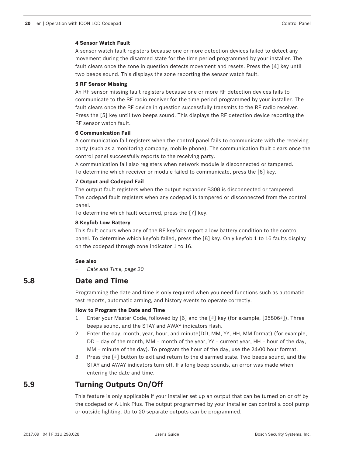#### **4 Sensor Watch Fault**

A sensor watch fault registers because one or more detection devices failed to detect any movement during the disarmed state for the time period programmed by your installer. The fault clears once the zone in question detects movement and resets. Press the [4] key until two beeps sound. This displays the zone reporting the sensor watch fault.

#### **5 RF Sensor Missing**

An RF sensor missing fault registers because one or more RF detection devices fails to communicate to the RF radio receiver for the time period programmed by your installer. The fault clears once the RF device in question successfully transmits to the RF radio receiver. Press the [5] key until two beeps sound. This displays the RF detection device reporting the RF sensor watch fault.

#### **6 Communication Fail**

A communication fail registers when the control panel fails to communicate with the receiving party (such as a monitoring company, mobile phone). The communication fault clears once the control panel successfully reports to the receiving party.

A communication fail also registers when network module is disconnected or tampered. To determine which receiver or module failed to communicate, press the [6] key.

#### **7 Output and Codepad Fail**

The output fault registers when the output expander B308 is disconnected or tampered. The codepad fault registers when any codepad is tampered or disconnected from the control panel.

To determine which fault occurred, press the [7] key.

#### **8 Keyfob Low Battery**

This fault occurs when any of the RF keyfobs report a low battery condition to the control panel. To determine which keyfob failed, press the [8] key. Only keyfob 1 to 16 faults display on the codepad through zone indicator 1 to 16.

#### **See also**

*– Date and Time, page 20*

## **5.8 Date and Time**

Programming the date and time is only required when you need functions such as automatic test reports, automatic arming, and history events to operate correctly.

#### **How to Program the Date and Time**

- 1. Enter your Master Code, followed by [6] and the [#] key (for example, [25806#]). Three beeps sound, and the STAY and AWAY indicators flash.
- 2. Enter the day, month, year, hour, and minute(DD, MM, YY, HH, MM format) (for example, DD = day of the month, MM = month of the year, YY = current year, HH = hour of the day, MM = minute of the day). To program the hour of the day, use the 24:00 hour format.
- 3. Press the [#] button to exit and return to the disarmed state. Two beeps sound, and the STAY and AWAY indicators turn off. If a long beep sounds, an error was made when entering the date and time.

## **5.9 Turning Outputs On/Off**

This feature is only applicable if your installer set up an output that can be turned on or off by the codepad or A-Link Plus. The output programmed by your installer can control a pool pump or outside lighting. Up to 20 separate outputs can be programmed.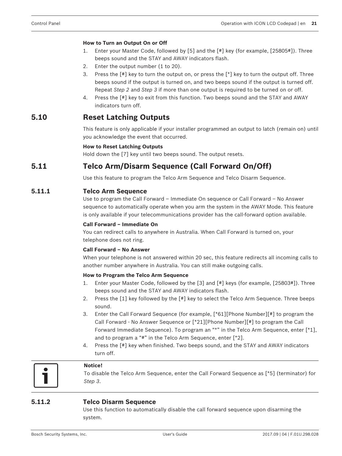#### **How to Turn an Output On or Off**

- 1. Enter your Master Code, followed by [5] and the [#] key (for example, [25805#]). Three beeps sound and the STAY and AWAY indicators flash.
- 2. Enter the output number (1 to 20).
- 3. Press the  $[$ #] key to turn the output on, or press the  $[$ <sup>\*</sup>] key to turn the output off. Three beeps sound if the output is turned on, and two beeps sound if the output is turned off. Repeat *Step 2* and *Step 3* if more than one output is required to be turned on or off.
- 4. Press the [#] key to exit from this function. Two beeps sound and the STAY and AWAY indicators turn off.

## **5.10 Reset Latching Outputs**

This feature is only applicable if your installer programmed an output to latch (remain on) until you acknowledge the event that occurred.

#### **How to Reset Latching Outputs**

Hold down the [7] key until two beeps sound. The output resets.

## **5.11 Telco Arm/Disarm Sequence (Call Forward On/Off)**

Use this feature to program the Telco Arm Sequence and Telco Disarm Sequence.

#### **5.11.1 Telco Arm Sequence**

Use to program the Call Forward – Immediate On sequence or Call Forward – No Answer sequence to automatically operate when you arm the system in the AWAY Mode. This feature is only available if your telecommunications provider has the call-forward option available.

#### **Call Forward – Immediate On**

You can redirect calls to anywhere in Australia. When Call Forward is turned on, your telephone does not ring.

#### **Call Forward – No Answer**

When your telephone is not answered within 20 sec, this feature redirects all incoming calls to another number anywhere in Australia. You can still make outgoing calls.

#### **How to Program the Telco Arm Sequence**

- 1. Enter your Master Code, followed by the [3] and [#] keys (for example, [25803#]). Three beeps sound and the STAY and AWAY indicators flash.
- 2. Press the [1] key followed by the [#] key to select the Telco Arm Sequence. Three beeps sound.
- 3. Enter the Call Forward Sequence (for example, [\*61][Phone Number][#] to program the Call Forward - No Answer Sequence or [\*21][Phone Number][#] to program the Call Forward Immediate Sequence). To program an "\*" in the Telco Arm Sequence, enter [\*1], and to program a "#" in the Telco Arm Sequence, enter [\*2].
- 4. Press the [#] key when finished. Two beeps sound, and the STAY and AWAY indicators turn off.



#### **Notice!**

To disable the Telco Arm Sequence, enter the Call Forward Sequence as [\*5] (terminator) for *Step 3*.

#### **5.11.2 Telco Disarm Sequence**

Use this function to automatically disable the call forward sequence upon disarming the system.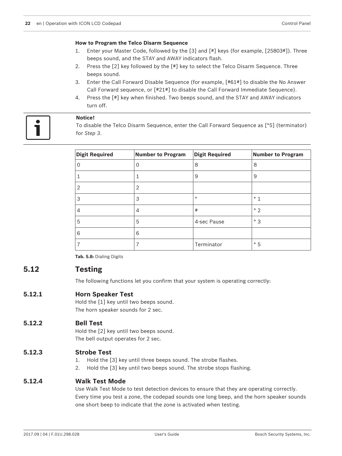#### **How to Program the Telco Disarm Sequence**

- 1. Enter your Master Code, followed by the [3] and [#] keys (for example, [25803#]). Three beeps sound, and the STAY and AWAY indicators flash.
- 2. Press the [2] key followed by the [#] key to select the Telco Disarm Sequence. Three beeps sound.
- 3. Enter the Call Forward Disable Sequence (for example, [#61#] to disable the No Answer Call Forward sequence, or [#21#] to disable the Call Forward Immediate Sequence).
- 4. Press the [#] key when finished. Two beeps sound, and the STAY and AWAY indicators turn off.

#### **Notice!**

To disable the Telco Disarm Sequence, enter the Call Forward Sequence as [\*5] (terminator) for *Step 3*.

| <b>Digit Required</b> | <b>Number to Program</b> | <b>Digit Required</b> | <b>Number to Program</b> |
|-----------------------|--------------------------|-----------------------|--------------------------|
|                       | 0                        | 8                     | 8                        |
|                       |                          | 9                     | 9                        |
| 2                     | 2                        |                       |                          |
| 3                     | 3                        | $\ast$                | $*1$                     |
| 4                     | 4                        | #                     | $*2$                     |
| 5                     | 5                        | 4-sec Pause           | $*3$                     |
| 6                     | 6                        |                       |                          |
|                       |                          | Terminator            | $*5$                     |

**Tab. 5.8:** Dialing Digits

## **5.12 Testing**

The following functions let you confirm that your system is operating correctly:

## **5.12.1 Horn Speaker Test**

Hold the [1] key until two beeps sound. The horn speaker sounds for 2 sec.

#### **5.12.2 Bell Test**

Hold the [2] key until two beeps sound. The bell output operates for 2 sec.

#### **5.12.3 Strobe Test**

- 1. Hold the [3] key until three beeps sound. The strobe flashes.
- 2. Hold the [3] key until two beeps sound. The strobe stops flashing.

#### **5.12.4 Walk Test Mode**

Use Walk Test Mode to test detection devices to ensure that they are operating correctly. Every time you test a zone, the codepad sounds one long beep, and the horn speaker sounds one short beep to indicate that the zone is activated when testing.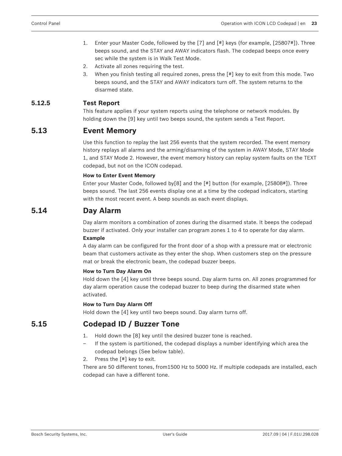- 1. Enter your Master Code, followed by the [7] and [#] keys (for example, [25807#]). Three beeps sound, and the STAY and AWAY indicators flash. The codepad beeps once every sec while the system is in Walk Test Mode.
- 2. Activate all zones requiring the test.
- 3. When you finish testing all required zones, press the [#] key to exit from this mode. Two beeps sound, and the STAY and AWAY indicators turn off. The system returns to the disarmed state.

## **5.12.5 Test Report**

This feature applies if your system reports using the telephone or network modules. By holding down the [9] key until two beeps sound, the system sends a Test Report.

## **5.13 Event Memory**

Use this function to replay the last 256 events that the system recorded. The event memory history replays all alarms and the arming/disarming of the system in AWAY Mode, STAY Mode 1, and STAY Mode 2. However, the event memory history can replay system faults on the TEXT codepad, but not on the ICON codepad.

#### **How to Enter Event Memory**

Enter your Master Code, followed by[8] and the [#] button (for example, [25808#]). Three beeps sound. The last 256 events display one at a time by the codepad indicators, starting with the most recent event. A beep sounds as each event displays.

## **5.14 Day Alarm**

Day alarm monitors a combination of zones during the disarmed state. It beeps the codepad buzzer if activated. Only your installer can program zones 1 to 4 to operate for day alarm. **Example**

A day alarm can be configured for the front door of a shop with a pressure mat or electronic beam that customers activate as they enter the shop. When customers step on the pressure mat or break the electronic beam, the codepad buzzer beeps.

#### **How to Turn Day Alarm On**

Hold down the [4] key until three beeps sound. Day alarm turns on. All zones programmed for day alarm operation cause the codepad buzzer to beep during the disarmed state when activated.

#### **How to Turn Day Alarm Off**

Hold down the [4] key until two beeps sound. Day alarm turns off.

## **5.15 Codepad ID / Buzzer Tone**

- 1. Hold down the [8] key until the desired buzzer tone is reached.
- If the system is partitioned, the codepad displays a number identifying which area the codepad belongs (See below table).
- 2. Press the [#] key to exit.

There are 50 different tones, from1500 Hz to 5000 Hz. If multiple codepads are installed, each codepad can have a different tone.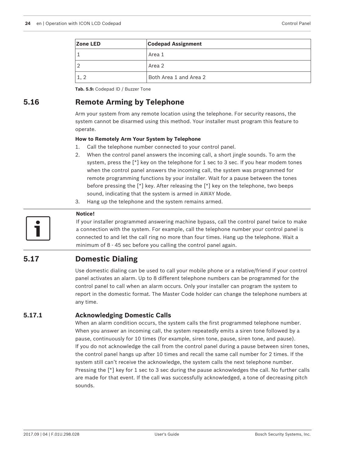| Zone LED | <b>Codepad Assignment</b> |
|----------|---------------------------|
|          | Area 1                    |
|          | Area 2                    |
|          | Both Area 1 and Area 2    |

**Tab. 5.9:** Codepad ID / Buzzer Tone

## **5.16 Remote Arming by Telephone**

Arm your system from any remote location using the telephone. For security reasons, the system cannot be disarmed using this method. Your installer must program this feature to operate.

#### **How to Remotely Arm Your System by Telephone**

- 1. Call the telephone number connected to your control panel.
- 2. When the control panel answers the incoming call, a short jingle sounds. To arm the system, press the  $[\ast]$  key on the telephone for 1 sec to 3 sec. If you hear modem tones when the control panel answers the incoming call, the system was programmed for remote programming functions by your installer. Wait for a pause between the tones before pressing the [\*] key. After releasing the [\*] key on the telephone, two beeps sound, indicating that the system is armed in AWAY Mode.
- 3. Hang up the telephone and the system remains armed.



#### **Notice!**

If your installer programmed answering machine bypass, call the control panel twice to make a connection with the system. For example, call the telephone number your control panel is connected to and let the call ring no more than four times. Hang up the telephone. Wait a minimum of 8 - 45 sec before you calling the control panel again.

## **5.17 Domestic Dialing**

Use domestic dialing can be used to call your mobile phone or a relative/friend if your control panel activates an alarm. Up to 8 different telephone numbers can be programmed for the control panel to call when an alarm occurs. Only your installer can program the system to report in the domestic format. The Master Code holder can change the telephone numbers at any time.

#### **5.17.1 Acknowledging Domestic Calls**

When an alarm condition occurs, the system calls the first programmed telephone number. When you answer an incoming call, the system repeatedly emits a siren tone followed by a pause, continuously for 10 times (for example, siren tone, pause, siren tone, and pause). If you do not acknowledge the call from the control panel during a pause between siren tones, the control panel hangs up after 10 times and recall the same call number for 2 times. If the system still can't receive the acknowledge, the system calls the next telephone number. Pressing the [\*] key for 1 sec to 3 sec during the pause acknowledges the call. No further calls are made for that event. If the call was successfully acknowledged, a tone of decreasing pitch sounds.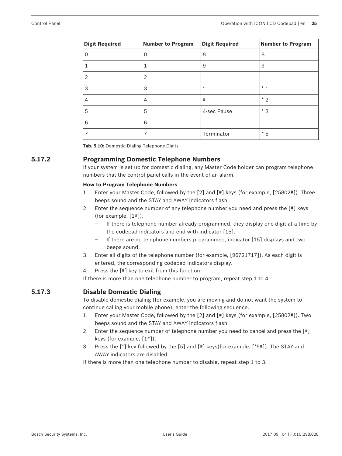| <b>Digit Required</b> | Number to Program | <b>Digit Required</b> | <b>Number to Program</b> |
|-----------------------|-------------------|-----------------------|--------------------------|
| 0                     | $\mathbf 0$       | 8                     | 8                        |
|                       |                   | 9                     | 9                        |
| $\overline{2}$        | 2                 |                       |                          |
| 3                     | 3                 | $\star$               | $*1$                     |
| 4                     | 4                 | #                     | $*2$                     |
| 5                     | 5                 | 4-sec Pause           | $*3$                     |
| 6                     | 6                 |                       |                          |
| 7                     | 7                 | Terminator            | $*5$                     |

**Tab. 5.10:** Domestic Dialing Telephone Digits

### **5.17.2 Programming Domestic Telephone Numbers**

If your system is set up for domestic dialing, any Master Code holder can program telephone numbers that the control panel calls in the event of an alarm.

#### **How to Program Telephone Numbers**

- 1. Enter your Master Code, followed by the [2] and [#] keys (for example, [25802#]). Three beeps sound and the STAY and AWAY indicators flash.
- 2. Enter the sequence number of any telephone number you need and press the [#] keys (for example, [1#]).
	- If there is telephone number already programmed, they display one digit at a time by the codepad indicators and end with indicator [15].
	- If there are no telephone numbers programmed, indicator [15] displays and two beeps sound.
- 3. Enter all digits of the telephone number (for example, [96721717]). As each digit is entered, the corresponding codepad indicators display.
- 4. Press the [#] key to exit from this function.

If there is more than one telephone number to program, repeat step 1 to 4.

#### **5.17.3 Disable Domestic Dialing**

To disable domestic dialing (for example, you are moving and do not want the system to continue calling your mobile phone), enter the following sequence.

- 1. Enter your Master Code, followed by the [2] and [#] keys (for example, [25802#]). Two beeps sound and the STAY and AWAY indicators flash.
- 2. Enter the sequence number of telephone number you need to cancel and press the [#] keys (for example, [1#]).
- 3. Press the [\*] key followed by the [5] and [#] keys(for example, [\*5#]). The STAY and AWAY indicators are disabled.

If there is more than one telephone number to disable, repeat step 1 to 3.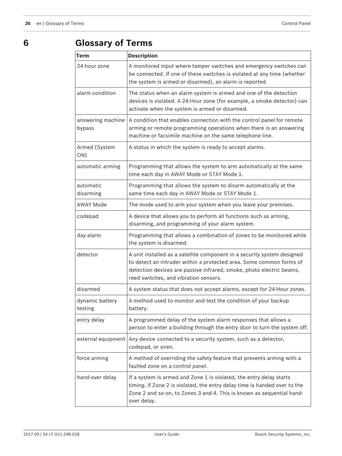## **6 Glossary of Terms**

| <b>Term</b>                 | <b>Description</b>                                                                                                                                                                                                                                              |  |
|-----------------------------|-----------------------------------------------------------------------------------------------------------------------------------------------------------------------------------------------------------------------------------------------------------------|--|
| 24-hour zone                | A monitored input where tamper switches and emergency switches can<br>be connected. If one of these switches is violated at any time (whether<br>the system is armed or disarmed), an alarm is reported.                                                        |  |
| alarm condition             | The status when an alarm system is armed and one of the detection<br>devices is violated. A 24-Hour zone (for example, a smoke detector) can<br>activate when the system is armed or disarmed.                                                                  |  |
| answering machine<br>bypass | A condition that enables connection with the control panel for remote<br>arming or remote programming operations when there is an answering<br>machine or facsimile machine on the same telephone line.                                                         |  |
| Armed (System<br>ON)        | A status in which the system is ready to accept alarms.                                                                                                                                                                                                         |  |
| automatic arming            | Programming that allows the system to arm automatically at the same<br>time each day in AWAY Mode or STAY Mode 1.                                                                                                                                               |  |
| automatic<br>disarming      | Programming that allows the system to disarm automatically at the<br>same time each day in AWAY Mode or STAY Mode 1.                                                                                                                                            |  |
| <b>AWAY Mode</b>            | The mode used to arm your system when you leave your premises.                                                                                                                                                                                                  |  |
| codepad                     | A device that allows you to perform all functions such as arming,<br>disarming, and programming of your alarm system.                                                                                                                                           |  |
| day alarm                   | Programming that allows a combination of zones to be monitored while<br>the system is disarmed.                                                                                                                                                                 |  |
| detector                    | A unit installed as a satellite component in a security system designed<br>to detect an intruder within a protected area. Some common forms of<br>detection devices are passive infrared, smoke, photo electric beams,<br>reed switches, and vibration sensors. |  |
| disarmed                    | A system status that does not accept alarms, except for 24-Hour zones.                                                                                                                                                                                          |  |
| dynamic battery<br>testing  | A method used to monitor and test the condition of your backup<br>battery.                                                                                                                                                                                      |  |
| entry delay                 | A programmed delay of the system alarm responses that allows a<br>person to enter a building through the entry door to turn the system off.                                                                                                                     |  |
| external equipment          | Any device connected to a security system, such as a detector,<br>codepad, or siren.                                                                                                                                                                            |  |
| force arming                | A method of overriding the safety feature that prevents arming with a<br>faulted zone on a control panel.                                                                                                                                                       |  |
| hand-over delay             | If a system is armed and Zone 1 is violated, the entry delay starts<br>timing. If Zone 2 is violated, the entry delay time is handed over to the<br>Zone 2 and so on, to Zones 3 and 4. This is known as sequential hand-<br>over delay.                        |  |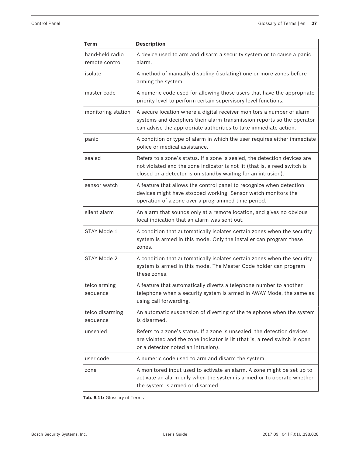| Term                              | <b>Description</b>                                                                                                                                                                                                      |
|-----------------------------------|-------------------------------------------------------------------------------------------------------------------------------------------------------------------------------------------------------------------------|
| hand-held radio<br>remote control | A device used to arm and disarm a security system or to cause a panic<br>alarm.                                                                                                                                         |
| isolate                           | A method of manually disabling (isolating) one or more zones before<br>arming the system.                                                                                                                               |
| master code                       | A numeric code used for allowing those users that have the appropriate<br>priority level to perform certain supervisory level functions.                                                                                |
| monitoring station                | A secure location where a digital receiver monitors a number of alarm<br>systems and deciphers their alarm transmission reports so the operator<br>can advise the appropriate authorities to take immediate action.     |
| panic                             | A condition or type of alarm in which the user requires either immediate<br>police or medical assistance.                                                                                                               |
| sealed                            | Refers to a zone's status. If a zone is sealed, the detection devices are<br>not violated and the zone indicator is not lit (that is, a reed switch is<br>closed or a detector is on standby waiting for an intrusion). |
| sensor watch                      | A feature that allows the control panel to recognize when detection<br>devices might have stopped working. Sensor watch monitors the<br>operation of a zone over a programmed time period.                              |
| silent alarm                      | An alarm that sounds only at a remote location, and gives no obvious<br>local indication that an alarm was sent out.                                                                                                    |
| STAY Mode 1                       | A condition that automatically isolates certain zones when the security<br>system is armed in this mode. Only the installer can program these<br>zones.                                                                 |
| STAY Mode 2                       | A condition that automatically isolates certain zones when the security<br>system is armed in this mode. The Master Code holder can program<br>these zones.                                                             |
| telco arming<br>seauence          | A feature that automatically diverts a telephone number to another<br>telephone when a security system is armed in AWAY Mode, the same as<br>using call forwarding.                                                     |
| telco disarming<br>sequence       | An automatic suspension of diverting of the telephone when the system<br>is disarmed.                                                                                                                                   |
| unsealed                          | Refers to a zone's status. If a zone is unsealed, the detection devices<br>are violated and the zone indicator is lit (that is, a reed switch is open<br>or a detector noted an intrusion).                             |
| user code                         | A numeric code used to arm and disarm the system.                                                                                                                                                                       |
| zone                              | A monitored input used to activate an alarm. A zone might be set up to<br>activate an alarm only when the system is armed or to operate whether<br>the system is armed or disarmed.                                     |

**Tab. 6.11:** Glossary of Terms